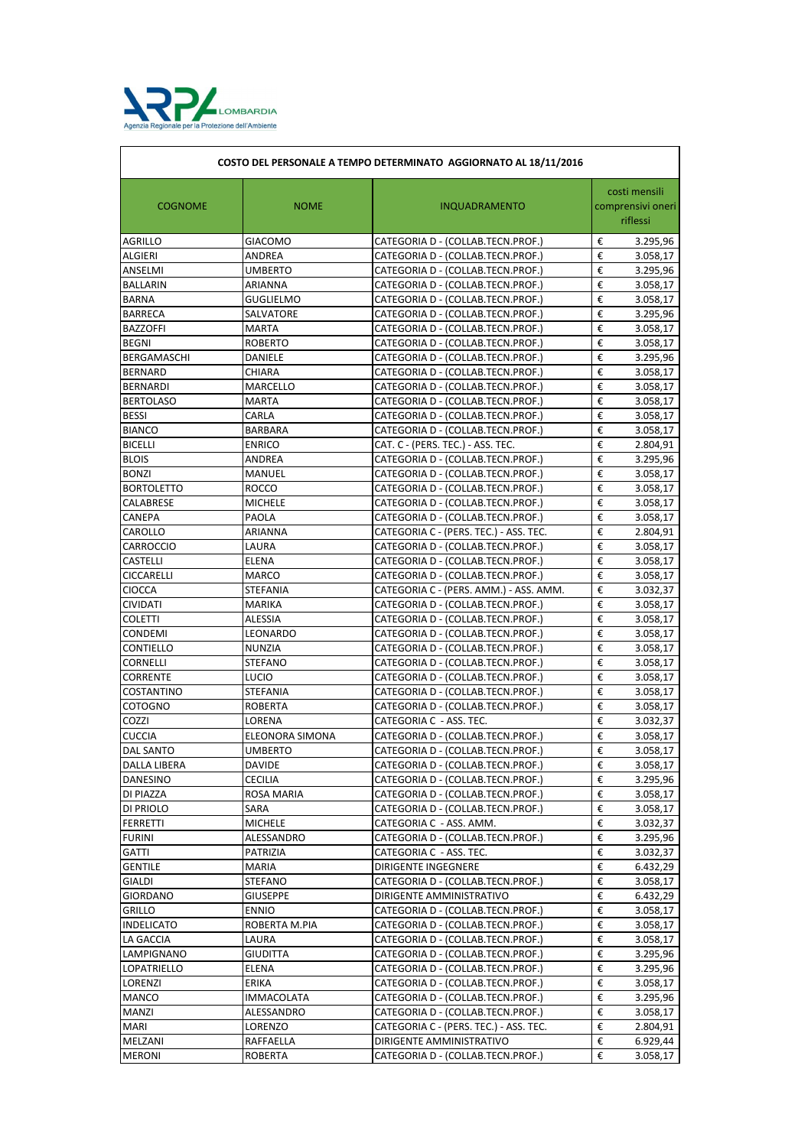

| COSTO DEL PERSONALE A TEMPO DETERMINATO AGGIORNATO AL 18/11/2016 |                   |                                        |                                                |  |
|------------------------------------------------------------------|-------------------|----------------------------------------|------------------------------------------------|--|
| <b>COGNOME</b>                                                   | <b>NOME</b>       | <b>INQUADRAMENTO</b>                   | costi mensili<br>comprensivi oneri<br>riflessi |  |
| <b>AGRILLO</b>                                                   | <b>GIACOMO</b>    | CATEGORIA D - (COLLAB.TECN.PROF.)      | €<br>3.295,96                                  |  |
| <b>ALGIERI</b>                                                   | <b>ANDREA</b>     | CATEGORIA D - (COLLAB.TECN.PROF.)      | €<br>3.058,17                                  |  |
| ANSELMI                                                          | <b>UMBERTO</b>    | CATEGORIA D - (COLLAB.TECN.PROF.)      | €<br>3.295,96                                  |  |
| <b>BALLARIN</b>                                                  | <b>ARIANNA</b>    | CATEGORIA D - (COLLAB.TECN.PROF.)      | €<br>3.058,17                                  |  |
| <b>BARNA</b>                                                     | <b>GUGLIELMO</b>  | CATEGORIA D - (COLLAB.TECN.PROF.)      | €<br>3.058,17                                  |  |
| <b>BARRECA</b>                                                   | SALVATORE         | CATEGORIA D - (COLLAB.TECN.PROF.)      | $\overline{\epsilon}$<br>3.295,96              |  |
| <b>BAZZOFFI</b>                                                  | <b>MARTA</b>      | CATEGORIA D - (COLLAB.TECN.PROF.)      | €<br>3.058,17                                  |  |
| <b>BEGNI</b>                                                     | <b>ROBERTO</b>    | CATEGORIA D - (COLLAB.TECN.PROF.)      | €<br>3.058,17                                  |  |
| BERGAMASCHI                                                      | <b>DANIELE</b>    | CATEGORIA D - (COLLAB.TECN.PROF.)      | €<br>3.295,96                                  |  |
| <b>BERNARD</b>                                                   | <b>CHIARA</b>     | CATEGORIA D - (COLLAB.TECN.PROF.)      | $\overline{\epsilon}$<br>3.058,17              |  |
| <b>BERNARDI</b>                                                  | <b>MARCELLO</b>   | CATEGORIA D - (COLLAB.TECN.PROF.)      | $\boldsymbol{\epsilon}$<br>3.058,17            |  |
| <b>BERTOLASO</b>                                                 | <b>MARTA</b>      | CATEGORIA D - (COLLAB.TECN.PROF.)      | €<br>3.058,17                                  |  |
| <b>BESSI</b>                                                     | CARLA             | CATEGORIA D - (COLLAB.TECN.PROF.)      | €<br>3.058,17                                  |  |
| <b>BIANCO</b>                                                    | <b>BARBARA</b>    | CATEGORIA D - (COLLAB.TECN.PROF.)      | €<br>3.058,17                                  |  |
| <b>BICELLI</b>                                                   | <b>ENRICO</b>     | CAT. C - (PERS. TEC.) - ASS. TEC.      | €<br>2.804,91                                  |  |
| <b>BLOIS</b>                                                     | <b>ANDREA</b>     | CATEGORIA D - (COLLAB.TECN.PROF.)      | €<br>3.295,96                                  |  |
| <b>BONZI</b>                                                     | <b>MANUEL</b>     | CATEGORIA D - (COLLAB.TECN.PROF.)      | €<br>3.058,17                                  |  |
| <b>BORTOLETTO</b>                                                | <b>ROCCO</b>      | CATEGORIA D - (COLLAB.TECN.PROF.)      | $\overline{\epsilon}$<br>3.058,17              |  |
| CALABRESE                                                        | <b>MICHELE</b>    | CATEGORIA D - (COLLAB.TECN.PROF.)      | €<br>3.058,17                                  |  |
| <b>CANEPA</b>                                                    | <b>PAOLA</b>      | CATEGORIA D - (COLLAB.TECN.PROF.)      | €<br>3.058,17                                  |  |
| CAROLLO                                                          | ARIANNA           | CATEGORIA C - (PERS. TEC.) - ASS. TEC. | €<br>2.804,91                                  |  |
| <b>CARROCCIO</b>                                                 | LAURA             | CATEGORIA D - (COLLAB.TECN.PROF.)      | €<br>3.058,17                                  |  |
| <b>CASTELLI</b>                                                  | <b>ELENA</b>      | CATEGORIA D - (COLLAB.TECN.PROF.)      | $\overline{\epsilon}$<br>3.058,17              |  |
| <b>CICCARELLI</b>                                                | <b>MARCO</b>      | CATEGORIA D - (COLLAB.TECN.PROF.)      | $\boldsymbol{\epsilon}$<br>3.058,17            |  |
| <b>CIOCCA</b>                                                    | <b>STEFANIA</b>   | CATEGORIA C - (PERS. AMM.) - ASS. AMM. | €<br>3.032,37                                  |  |
| <b>CIVIDATI</b>                                                  | <b>MARIKA</b>     | CATEGORIA D - (COLLAB.TECN.PROF.)      | $\boldsymbol{\epsilon}$<br>3.058,17            |  |
| <b>COLETTI</b>                                                   | <b>ALESSIA</b>    | CATEGORIA D - (COLLAB.TECN.PROF.)      | $\boldsymbol{\epsilon}$<br>3.058,17            |  |
| <b>CONDEMI</b>                                                   | LEONARDO          | CATEGORIA D - (COLLAB.TECN.PROF.)      | €<br>3.058,17                                  |  |
| <b>CONTIELLO</b>                                                 | <b>NUNZIA</b>     | CATEGORIA D - (COLLAB.TECN.PROF.)      | €<br>3.058,17                                  |  |
| <b>CORNELLI</b>                                                  | <b>STEFANO</b>    | CATEGORIA D - (COLLAB.TECN.PROF.)      | €<br>3.058,17                                  |  |
| <b>CORRENTE</b>                                                  | <b>LUCIO</b>      | CATEGORIA D - (COLLAB.TECN.PROF.)      | €<br>3.058,17                                  |  |
| <b>COSTANTINO</b>                                                | <b>STEFANIA</b>   | CATEGORIA D - (COLLAB.TECN.PROF.)      | €<br>3.058,17                                  |  |
| <b>COTOGNO</b>                                                   | <b>ROBERTA</b>    | CATEGORIA D - (COLLAB.TECN.PROF.)      | €<br>3.058,17                                  |  |
| COZZI                                                            | <b>LORENA</b>     | CATEGORIA C - ASS. TEC.                | $\overline{\epsilon}$<br>3.032,37              |  |
| <b>CUCCIA</b>                                                    | ELEONORA SIMONA   | CATEGORIA D - (COLLAB.TECN.PROF.)      | €<br>3.058,17                                  |  |
| <b>DAL SANTO</b>                                                 | <b>UMBERTO</b>    | CATEGORIA D - (COLLAB.TECN.PROF.)      | €<br>3.058,17                                  |  |
| <b>DALLA LIBERA</b>                                              | <b>DAVIDE</b>     | CATEGORIA D - (COLLAB.TECN.PROF.)      | €<br>3.058,17                                  |  |
| <b>DANESINO</b>                                                  | <b>CECILIA</b>    | CATEGORIA D - (COLLAB.TECN.PROF.)      | €<br>3.295,96                                  |  |
| DI PIAZZA                                                        | <b>ROSA MARIA</b> | CATEGORIA D - (COLLAB.TECN.PROF.)      | €<br>3.058,17                                  |  |
| DI PRIOLO                                                        | SARA              | CATEGORIA D - (COLLAB.TECN.PROF.)      | €<br>3.058,17                                  |  |
| <b>FERRETTI</b>                                                  | <b>MICHELE</b>    | CATEGORIA C - ASS. AMM.                | €<br>3.032,37                                  |  |
| <b>FURINI</b>                                                    | ALESSANDRO        | CATEGORIA D - (COLLAB.TECN.PROF.)      | €<br>3.295,96                                  |  |
| <b>GATTI</b>                                                     | <b>PATRIZIA</b>   | CATEGORIA C - ASS. TEC.                | €<br>3.032,37                                  |  |
| <b>GENTILE</b>                                                   | <b>MARIA</b>      | <b>DIRIGENTE INGEGNERE</b>             | €<br>6.432,29                                  |  |
| <b>GIALDI</b>                                                    | <b>STEFANO</b>    | CATEGORIA D - (COLLAB.TECN.PROF.)      | €<br>3.058,17                                  |  |
| <b>GIORDANO</b>                                                  | <b>GIUSEPPE</b>   | DIRIGENTE AMMINISTRATIVO               | €<br>6.432,29                                  |  |
| <b>GRILLO</b>                                                    | <b>ENNIO</b>      | CATEGORIA D - (COLLAB.TECN.PROF.)      | €<br>3.058,17                                  |  |
| <b>INDELICATO</b>                                                | ROBERTA M.PIA     | CATEGORIA D - (COLLAB.TECN.PROF.)      | €<br>3.058,17                                  |  |
| LA GACCIA                                                        | LAURA             | CATEGORIA D - (COLLAB.TECN.PROF.)      | €<br>3.058,17                                  |  |
| LAMPIGNANO                                                       | <b>GIUDITTA</b>   | CATEGORIA D - (COLLAB.TECN.PROF.)      | $\overline{\epsilon}$<br>3.295,96              |  |
| LOPATRIELLO                                                      | <b>ELENA</b>      | CATEGORIA D - (COLLAB.TECN.PROF.)      | €<br>3.295,96                                  |  |
| <b>LORENZI</b>                                                   | <b>ERIKA</b>      | CATEGORIA D - (COLLAB.TECN.PROF.)      | €<br>3.058,17                                  |  |
| <b>MANCO</b>                                                     | <b>IMMACOLATA</b> | CATEGORIA D - (COLLAB.TECN.PROF.)      | €<br>3.295,96                                  |  |
| <b>MANZI</b>                                                     | ALESSANDRO        | CATEGORIA D - (COLLAB.TECN.PROF.)      | $\boldsymbol{\epsilon}$<br>3.058,17            |  |
| <b>MARI</b>                                                      | LORENZO           | CATEGORIA C - (PERS. TEC.) - ASS. TEC. | $\boldsymbol{\epsilon}$<br>2.804,91            |  |
| MELZANI                                                          | <b>RAFFAELLA</b>  | DIRIGENTE AMMINISTRATIVO               | $\boldsymbol{\epsilon}$<br>6.929,44            |  |
| <b>MERONI</b>                                                    | ROBERTA           | CATEGORIA D - (COLLAB.TECN.PROF.)      | $\boldsymbol{\epsilon}$<br>3.058,17            |  |